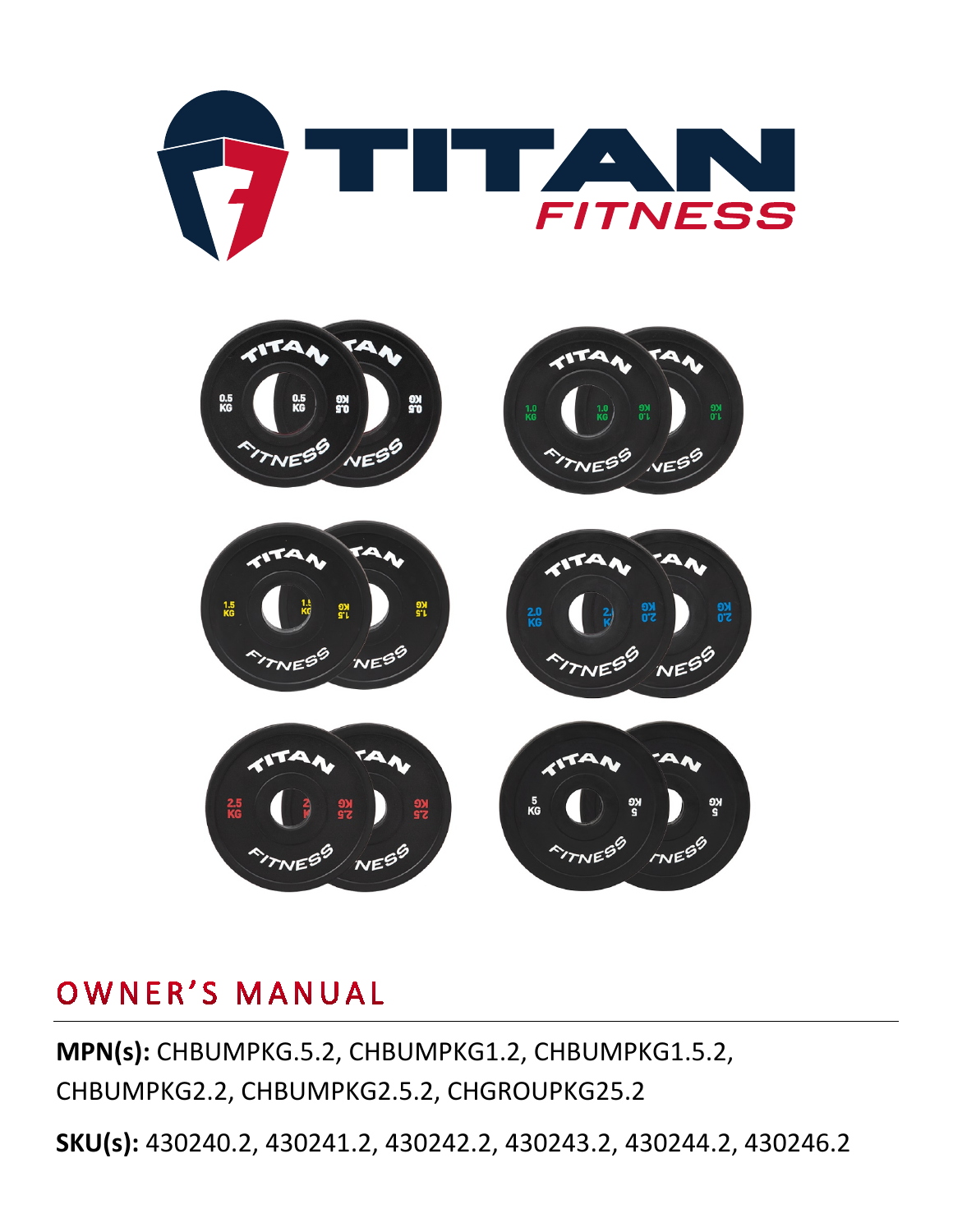



## OWNER'S MANUAL

**MPN(s):** CHBUMPKG.5.2, CHBUMPKG1.2, CHBUMPKG1.5.2, CHBUMPKG2.2, CHBUMPKG2.5.2, CHGROUPKG25.2

**SKU(s):** 430240.2, 430241.2, 430242.2, 430243.2, 430244.2, 430246.2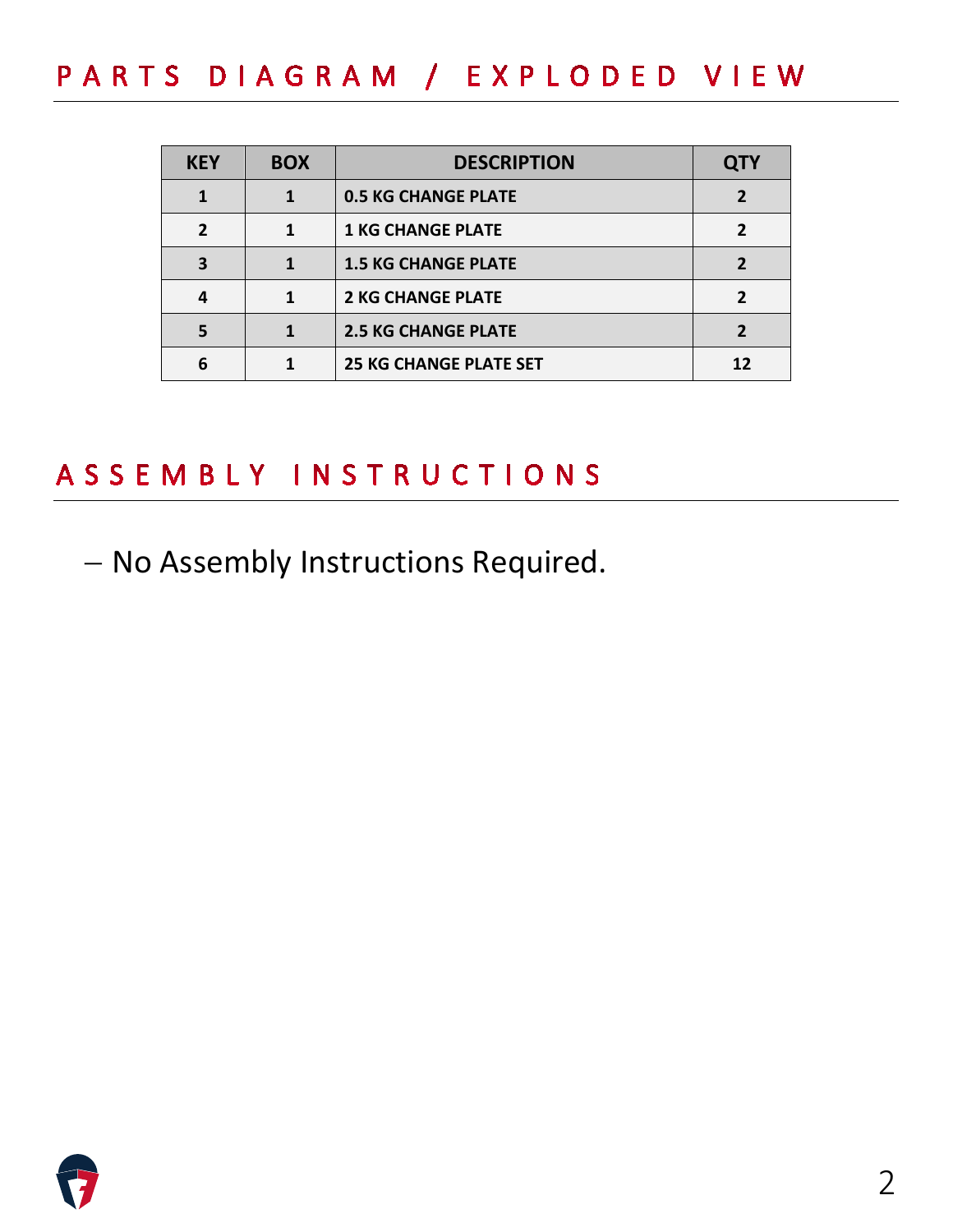PARTS DIAGRAM / EXPLODED VIEW

| <b>KEY</b>   | <b>BOX</b> | <b>DESCRIPTION</b>            | <b>QTY</b> |
|--------------|------------|-------------------------------|------------|
|              |            | <b>0.5 KG CHANGE PLATE</b>    |            |
| $\mathbf{z}$ | 1          | <b>1 KG CHANGE PLATE</b>      |            |
| 3            |            | <b>1.5 KG CHANGE PLATE</b>    |            |
| 4            |            | <b>2 KG CHANGE PLATE</b>      |            |
| 5            |            | <b>2.5 KG CHANGE PLATE</b>    |            |
| 6            |            | <b>25 KG CHANGE PLATE SET</b> |            |

### ASSEMBLY INSTRUCTIONS

− No Assembly Instructions Required.